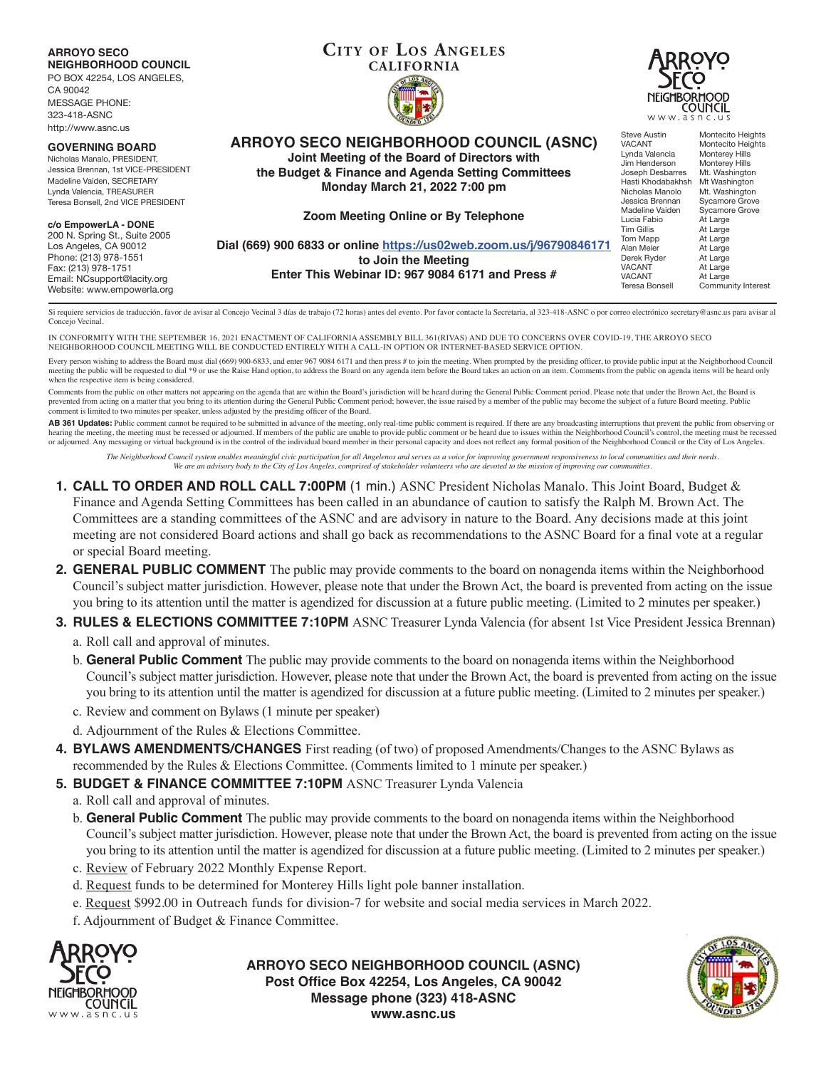**ARROYO SECO NEIGHBORHOOD COUNCIL**

PO BOX 42254, LOS ANGELES, CA 90042 MESSAGE PHONE: 323-418-ASNC http://www.asnc.us

#### **GOVERNING BOARD**

Nicholas Manalo, PRESIDENT, Jessica Brennan, 1st VICE-PRESIDENT Madeline Vaiden, SECRETARY Lynda Valencia, TREASURER Teresa Bonsell, 2nd VICE PRESIDENT

#### **c/o EmpowerLA - DONE**

200 N. Spring St., Suite 2005 Los Angeles, CA 90012 Phone: (213) 978-1551 Fax: (213) 978-1751 Email: NCsupport@lacity.org Website: www.empowerla.org

# **CITY OF LOS ANGELES CALIFORNIA**



**ARROYO SECO NEIGHBORHOOD COUNCIL (ASNC) Joint Meeting of the Board of Directors with the Budget & Finance and Agenda Setting Committees**

**Monday March 21, 2022 7:00 pm**

#### **Zoom Meeting Online or By Telephone**

**Dial (669) 900 6833 or online https://us02web.zoom.us/j/96790846171 to Join the Meeting Enter This Webinar ID: 967 9084 6171 and Press #**

Steve Austin Montecito Heights<br>
VACANT Montecito Heights Montecito Heights<br>Monterey Hills Lynda Valencia Monterey Hills<br>Jim Henderson Monterey Hills Jim Henderson<br>Joseph Desbarres Mt. Washington<br>Mt Washington Hasti Khodabakhsh<br>Nicholas Manolo Nicholas Manolo Mt. Washington<br>Jessica Brennan Sycamore Grove Sycamore Grove<br>Sycamore Grove Madeline Vaiden<br>Lucia Fabio Lucia Fabio At Large<br>Tim Gillis At Large At Large<br>At Large Tom Mapp<br>Alan Mejer Alan Meier At Large<br>
Derek Ryder At Large Derek Ryder At Large VACANT At Large<br>VACANT At Large VACANT At Large<br>Teresa Bonsell Commun Community Interest

Si requiere servicios de traducción, favor de avisar al Concejo Vecinal 3 días de trabajo (72 horas) antes del evento. Por favor contacte la Secretaria, al 323-418-ASNC o por correo electrónico secretary@asnc.us para avisa Concejo Vecinal.

IN CONFORMITY WITH THE SEPTEMBER 16, 2021 ENACTMENT OF CALIFORNIA ASSEMBLY BILL 361(RIVAS) AND DUE TO CONCERNS OVER COVID-19, THE ARROYO SECO NEIGHBORHOOD COUNCIL MEETING WILL BE CONDUCTED ENTIRELY WITH A CALL-IN OPTION OR INTERNET-BASED SERVICE OPTION.

Every person wishing to address the Board must dial (669) 900-6833, and enter 967 9084 6171 and then press # to join the meeting. When prompted by the presiding officer, to provide public input at the Neighborhood Council meeting the public will be requested to dial \*9 or use the Raise Hand option, to address the Board on any agenda item before the Board takes an action on an item. Comments from the public on agenda items will be heard only when the respective item is being considered.

Comments from the public on other matters not appearing on the agenda that are within the Board's jurisdiction will be heard during the General Public Comment period. Please note that under the Brown Act, the Board is prevented from acting on a matter that you bring to its attention during the General Public Comment period; however, the issue raised by a member of the public may become the subject of a future Board meeting. Public comment is limited to two minutes per speaker, unless adjusted by the presiding officer of the Board.

AB 361 Updates: Public comment cannot be required to be submitted in advance of the meeting, only real-time public comment is required. If there are any broadcasting interruptions that prevent the public from observing or hearing the meeting, the meeting must be recessed or adjourned. If members of the public are unable to provide public comment or be heard due to issues within the Neighborhood Council's control, the meeting must be recesse or adjourned. Any messaging or virtual background is in the control of the individual board member in their personal capacity and does not reflect any formal position of the Neighborhood Council or the City of Los Angeles.

*The Neighborhood Council system enables meaningful civic participation for all Angelenos and serves as a voice for improving government responsiveness to local communities and their needs. We are an advisory body to the City of Los Angeles, comprised of stakeholder volunteers who are devoted to the mission of improving our communities.*

- **1. CALL TO ORDER AND ROLL CALL 7:00PM** (1 min.) ASNC President Nicholas Manalo. This Joint Board, Budget & Finance and Agenda Setting Committees has been called in an abundance of caution to satisfy the Ralph M. Brown Act. The Committees are a standing committees of the ASNC and are advisory in nature to the Board. Any decisions made at this joint meeting are not considered Board actions and shall go back as recommendations to the ASNC Board for a final vote at a regular or special Board meeting.
- **2. GENERAL PUBLIC COMMENT** The public may provide comments to the board on nonagenda items within the Neighborhood Council's subject matter jurisdiction. However, please note that under the Brown Act, the board is prevented from acting on the issue you bring to its attention until the matter is agendized for discussion at a future public meeting. (Limited to 2 minutes per speaker.)

## **3. RULES & ELECTIONS COMMITTEE 7:10PM** ASNC Treasurer Lynda Valencia (for absent 1st Vice President Jessica Brennan)

- a. Roll call and approval of minutes.
- b. **General Public Comment** The public may provide comments to the board on nonagenda items within the Neighborhood Council's subject matter jurisdiction. However, please note that under the Brown Act, the board is prevented from acting on the issue you bring to its attention until the matter is agendized for discussion at a future public meeting. (Limited to 2 minutes per speaker.)
- c. Review and comment on Bylaws (1 minute per speaker)
- d. Adjournment of the Rules & Elections Committee.
- **4. BYLAWS AMENDMENTS/CHANGES** First reading (of two) of proposed Amendments/Changes to the ASNC Bylaws as recommended by the Rules & Elections Committee. (Comments limited to 1 minute per speaker.)
- **5. BUDGET & FINANCE COMMITTEE 7:10PM ASNC Treasurer Lynda Valencia** 
	- a. Roll call and approval of minutes.
	- b. **General Public Comment** The public may provide comments to the board on nonagenda items within the Neighborhood Council's subject matter jurisdiction. However, please note that under the Brown Act, the board is prevented from acting on the issue you bring to its attention until the matter is agendized for discussion at a future public meeting. (Limited to 2 minutes per speaker.)
	- c. Review of February 2022 Monthly Expense Report.
	- d. Request funds to be determined for Monterey Hills light pole banner installation.
	- e. Request \$992.00 in Outreach funds for division-7 for website and social media services in March 2022.
	- f. Adjournment of Budget & Finance Committee.



**ARROYO SECO NEIGHBORHOOD COUNCIL (ASNC) Post Office Box 42254, Los Angeles, CA 90042 Message phone (323) 418-ASNC www.asnc.us**